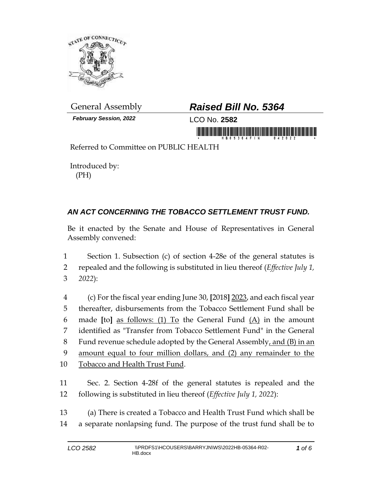

*February Session, 2022* LCO No. **2582**

## General Assembly *Raised Bill No. 5364*

in morning first is the hide or an individual morning

Referred to Committee on PUBLIC HEALTH

Introduced by: (PH)

## *AN ACT CONCERNING THE TOBACCO SETTLEMENT TRUST FUND.*

Be it enacted by the Senate and House of Representatives in General Assembly convened:

1 Section 1. Subsection (c) of section 4-28e of the general statutes is 2 repealed and the following is substituted in lieu thereof (*Effective July 1,*  3 *2022*):

 (c) For the fiscal year ending June 30, **[**2018**]** 2023, and each fiscal year thereafter, disbursements from the Tobacco Settlement Fund shall be made **[**to**]** as follows: (1) To the General Fund (A) in the amount identified as "Transfer from Tobacco Settlement Fund" in the General 8 Fund revenue schedule adopted by the General Assembly, and (B) in an amount equal to four million dollars, and (2) any remainder to the Tobacco and Health Trust Fund.

11 Sec. 2. Section 4-28f of the general statutes is repealed and the 12 following is substituted in lieu thereof (*Effective July 1, 2022*):

13 (a) There is created a Tobacco and Health Trust Fund which shall be 14 a separate nonlapsing fund. The purpose of the trust fund shall be to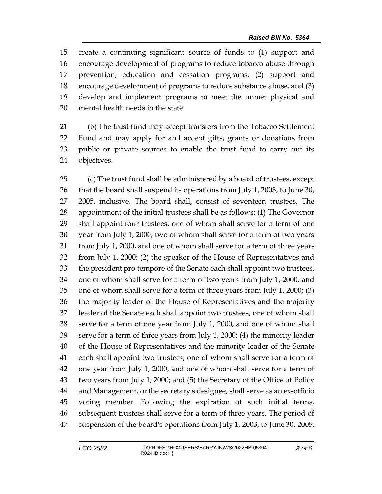create a continuing significant source of funds to (1) support and encourage development of programs to reduce tobacco abuse through prevention, education and cessation programs, (2) support and encourage development of programs to reduce substance abuse, and (3) develop and implement programs to meet the unmet physical and mental health needs in the state.

 (b) The trust fund may accept transfers from the Tobacco Settlement Fund and may apply for and accept gifts, grants or donations from public or private sources to enable the trust fund to carry out its objectives.

 (c) The trust fund shall be administered by a board of trustees, except that the board shall suspend its operations from July 1, 2003, to June 30, 2005, inclusive. The board shall, consist of seventeen trustees. The appointment of the initial trustees shall be as follows: (1) The Governor shall appoint four trustees, one of whom shall serve for a term of one year from July 1, 2000, two of whom shall serve for a term of two years from July 1, 2000, and one of whom shall serve for a term of three years from July 1, 2000; (2) the speaker of the House of Representatives and the president pro tempore of the Senate each shall appoint two trustees, one of whom shall serve for a term of two years from July 1, 2000, and one of whom shall serve for a term of three years from July 1, 2000; (3) the majority leader of the House of Representatives and the majority leader of the Senate each shall appoint two trustees, one of whom shall serve for a term of one year from July 1, 2000, and one of whom shall serve for a term of three years from July 1, 2000; (4) the minority leader of the House of Representatives and the minority leader of the Senate each shall appoint two trustees, one of whom shall serve for a term of one year from July 1, 2000, and one of whom shall serve for a term of two years from July 1, 2000; and (5) the Secretary of the Office of Policy and Management, or the secretary's designee, shall serve as an ex-officio voting member. Following the expiration of such initial terms, subsequent trustees shall serve for a term of three years. The period of suspension of the board's operations from July 1, 2003, to June 30, 2005,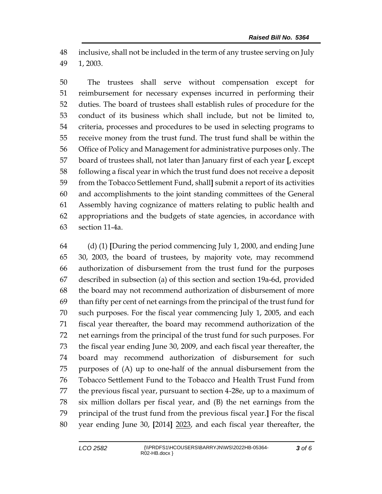inclusive, shall not be included in the term of any trustee serving on July 1, 2003.

 The trustees shall serve without compensation except for reimbursement for necessary expenses incurred in performing their duties. The board of trustees shall establish rules of procedure for the conduct of its business which shall include, but not be limited to, criteria, processes and procedures to be used in selecting programs to receive money from the trust fund. The trust fund shall be within the Office of Policy and Management for administrative purposes only. The board of trustees shall, not later than January first of each year **[**, except following a fiscal year in which the trust fund does not receive a deposit from the Tobacco Settlement Fund, shall**]** submit a report of its activities and accomplishments to the joint standing committees of the General Assembly having cognizance of matters relating to public health and appropriations and the budgets of state agencies, in accordance with section 11-4a.

 (d) (1) **[**During the period commencing July 1, 2000, and ending June 30, 2003, the board of trustees, by majority vote, may recommend authorization of disbursement from the trust fund for the purposes described in subsection (a) of this section and section 19a-6d, provided the board may not recommend authorization of disbursement of more than fifty per cent of net earnings from the principal of the trust fund for such purposes. For the fiscal year commencing July 1, 2005, and each fiscal year thereafter, the board may recommend authorization of the net earnings from the principal of the trust fund for such purposes. For the fiscal year ending June 30, 2009, and each fiscal year thereafter, the board may recommend authorization of disbursement for such purposes of (A) up to one-half of the annual disbursement from the Tobacco Settlement Fund to the Tobacco and Health Trust Fund from the previous fiscal year, pursuant to section 4-28e, up to a maximum of six million dollars per fiscal year, and (B) the net earnings from the principal of the trust fund from the previous fiscal year.**]** For the fiscal year ending June 30, **[**2014**]** 2023, and each fiscal year thereafter, the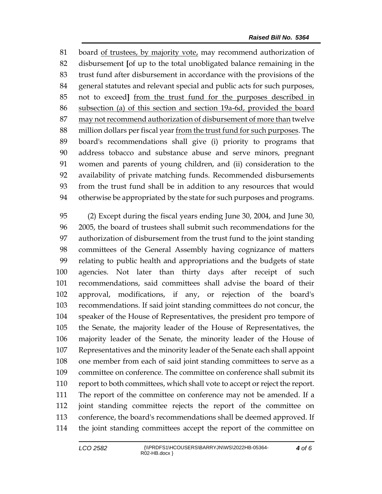board of trustees, by majority vote, may recommend authorization of disbursement **[**of up to the total unobligated balance remaining in the trust fund after disbursement in accordance with the provisions of the general statutes and relevant special and public acts for such purposes, not to exceed**]** from the trust fund for the purposes described in subsection (a) of this section and section 19a-6d, provided the board may not recommend authorization of disbursement of more than twelve million dollars per fiscal year from the trust fund for such purposes. The board's recommendations shall give (i) priority to programs that address tobacco and substance abuse and serve minors, pregnant women and parents of young children, and (ii) consideration to the availability of private matching funds. Recommended disbursements from the trust fund shall be in addition to any resources that would otherwise be appropriated by the state for such purposes and programs.

 (2) Except during the fiscal years ending June 30, 2004, and June 30, 2005, the board of trustees shall submit such recommendations for the authorization of disbursement from the trust fund to the joint standing committees of the General Assembly having cognizance of matters relating to public health and appropriations and the budgets of state agencies. Not later than thirty days after receipt of such recommendations, said committees shall advise the board of their approval, modifications, if any, or rejection of the board's recommendations. If said joint standing committees do not concur, the speaker of the House of Representatives, the president pro tempore of the Senate, the majority leader of the House of Representatives, the majority leader of the Senate, the minority leader of the House of Representatives and the minority leader of the Senate each shall appoint one member from each of said joint standing committees to serve as a committee on conference. The committee on conference shall submit its report to both committees, which shall vote to accept or reject the report. The report of the committee on conference may not be amended. If a joint standing committee rejects the report of the committee on conference, the board's recommendations shall be deemed approved. If the joint standing committees accept the report of the committee on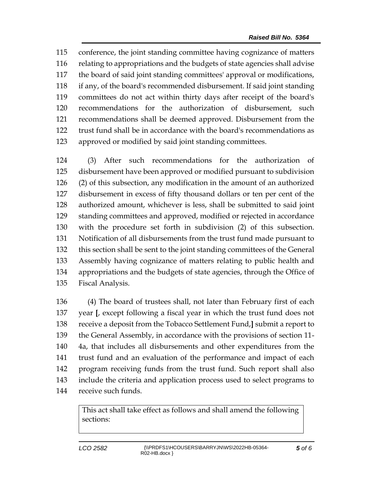conference, the joint standing committee having cognizance of matters relating to appropriations and the budgets of state agencies shall advise the board of said joint standing committees' approval or modifications, if any, of the board's recommended disbursement. If said joint standing committees do not act within thirty days after receipt of the board's recommendations for the authorization of disbursement, such recommendations shall be deemed approved. Disbursement from the trust fund shall be in accordance with the board's recommendations as approved or modified by said joint standing committees.

 (3) After such recommendations for the authorization of disbursement have been approved or modified pursuant to subdivision (2) of this subsection, any modification in the amount of an authorized disbursement in excess of fifty thousand dollars or ten per cent of the authorized amount, whichever is less, shall be submitted to said joint standing committees and approved, modified or rejected in accordance with the procedure set forth in subdivision (2) of this subsection. Notification of all disbursements from the trust fund made pursuant to this section shall be sent to the joint standing committees of the General Assembly having cognizance of matters relating to public health and appropriations and the budgets of state agencies, through the Office of Fiscal Analysis.

 (4) The board of trustees shall, not later than February first of each year **[**, except following a fiscal year in which the trust fund does not receive a deposit from the Tobacco Settlement Fund,**]** submit a report to the General Assembly, in accordance with the provisions of section 11- 4a, that includes all disbursements and other expenditures from the trust fund and an evaluation of the performance and impact of each program receiving funds from the trust fund. Such report shall also include the criteria and application process used to select programs to receive such funds.

> This act shall take effect as follows and shall amend the following sections: